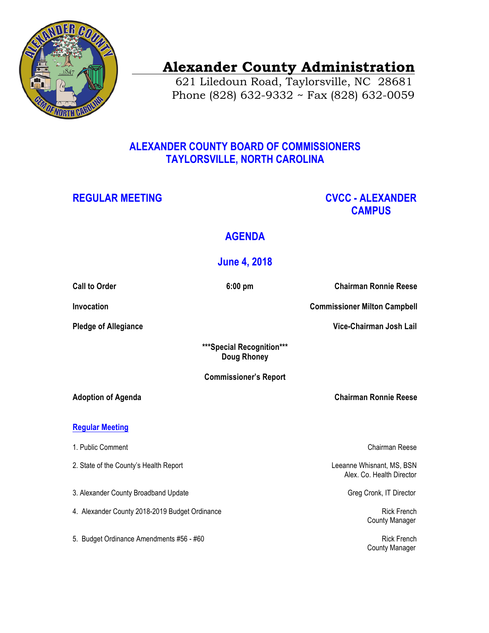

# **Alexander County Administration**

 621 Liledoun Road, Taylorsville, NC 28681 Phone (828) 632-9332 ~ Fax (828) 632-0059

## **ALEXANDER COUNTY BOARD OF COMMISSIONERS TAYLORSVILLE, NORTH CAROLINA**

## **REGULAR MEETING CVCC - ALEXANDER CAMPUS**

## **AGENDA**

## **June 4, 2018**

**Call to Order 6:00 pm Chairman Ronnie Reese**

**Invocation Commissioner Milton Campbell** 

**Pledge of Allegiance** Vice-Chairman Josh Lail

**\*\*\*Special Recognition\*\*\* Doug Rhoney** 

### **Commissioner's Report**

**Adoption of Agenda Chairman Ronnie Reese**

**Regular Meeting**

- 1. Public Comment Chairman Reese
- 2. State of the County's Health Report **Leeanne Whisnant, MS, BSN**
- 3. Alexander County Broadband Update Greg Cronk, IT Director Greg Cronk, IT Director
- 4. Alexander County 2018-2019 Budget Ordinance **Rick French** Rick French
- 5. Budget Ordinance Amendments #56 #60 Rick French Rick French Rick French

Alex. Co. Health Director

County Manager

County Manager